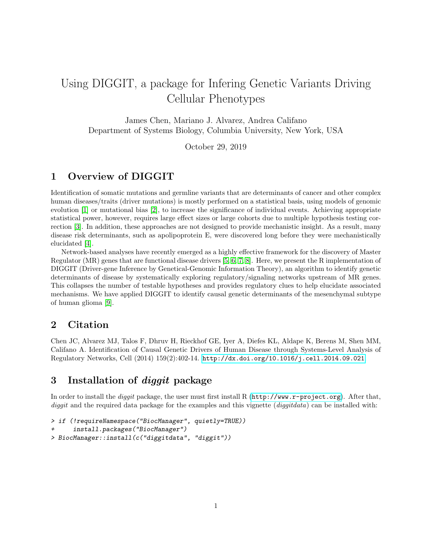# Using DIGGIT, a package for Infering Genetic Variants Driving Cellular Phenotypes

James Chen, Mariano J. Alvarez, Andrea Califano Department of Systems Biology, Columbia University, New York, USA

October 29, 2019

## 1 Overview of DIGGIT

Identification of somatic mutations and germline variants that are determinants of cancer and other complex human diseases/traits (driver mutations) is mostly performed on a statistical basis, using models of genomic evolution [\[1\]](#page-8-0) or mutational bias [\[2\]](#page-8-1), to increase the significance of individual events. Achieving appropriate statistical power, however, requires large effect sizes or large cohorts due to multiple hypothesis testing correction [\[3\]](#page-8-2). In addition, these approaches are not designed to provide mechanistic insight. As a result, many disease risk determinants, such as apolipoprotein E, were discovered long before they were mechanistically elucidated [\[4\]](#page-8-3).

Network-based analyses have recently emerged as a highly effective framework for the discovery of Master Regulator (MR) genes that are functional disease drivers [\[5,](#page-8-4) [6,](#page-8-5) [7,](#page-8-6) [8\]](#page-8-7). Here, we present the R implementation of DIGGIT (Driver-gene Inference by Genetical-Genomic Information Theory), an algorithm to identify genetic determinants of disease by systematically exploring regulatory/signaling networks upstream of MR genes. This collapses the number of testable hypotheses and provides regulatory clues to help elucidate associated mechanisms. We have applied DIGGIT to identify causal genetic determinants of the mesenchymal subtype of human glioma [\[9\]](#page-8-8).

## 2 Citation

Chen JC, Alvarez MJ, Talos F, Dhruv H, Rieckhof GE, Iyer A, Diefes KL, Aldape K, Berens M, Shen MM, Califano A. Identification of Causal Genetic Drivers of Human Disease through Systems-Level Analysis of Regulatory Networks, Cell (2014) 159(2):402-14. <http://dx.doi.org/10.1016/j.cell.2014.09.021>.

## 3 Installation of diggit package

In order to install the *diggit* package, the user must first install R ( $http://www.r-project.org)$  $http://www.r-project.org)$ ). After that, diggit and the required data package for the examples and this vignette  $(diggit data)$  can be installed with:

```
> if (!requireNamespace("BiocManager", quietly=TRUE))
+ install.packages("BiocManager")
> BiocManager::install(c("diggitdata", "diggit"))
```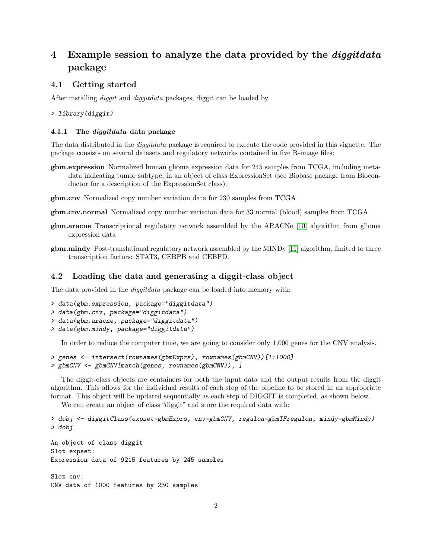## 4 Example session to analyze the data provided by the *diggitdata* package

#### 4.1 Getting started

After installing *diggit* and *diggitdata* packages, diggit can be loaded by

> library(diggit)

#### 4.1.1 The diggitdata data package

The data distributed in the diggitdata package is required to execute the code provided in this vignette. The package consists on several datasets and regulatory networks contained in five R-image files:

- gbm.expression Normalized human glioma expression data for 245 samples from TCGA, including metadata indicating tumor subtype, in an object of class ExpressionSet (see Biobase package from Bioconductor for a description of the ExpressionSet class).
- gbm.cnv Normalized copy number variation data for 230 samples from TCGA

gbm.cnv.normal Normalized copy number variation data for 33 normal (blood) samples from TCGA

- gbm.aracne Transcriptional regulatory network assembled by the ARACNe [\[10\]](#page-8-9) algorithm from glioma expression data
- gbm.mindy Post-translational regulatory network assembled by the MINDy [\[11\]](#page-8-10) algorithm, limited to three transcription factors: STAT3, CEBPB and CEBPD.

#### 4.2 Loading the data and generating a diggit-class object

The data provided in the diggitdata package can be loaded into memory with:

```
> data(gbm.expression, package="diggitdata")
> data(gbm.cnv, package="diggitdata")
> data(gbm.aracne, package="diggitdata")
> data(gbm.mindy, package="diggitdata")
```
In order to reduce the computer time, we are going to consider only 1,000 genes for the CNV analysis.

```
> genes <- intersect(rownames(gbmExprs), rownames(gbmCNV))[1:1000]
> gbmCNV <- gbmCNV[match(genes, rownames(gbmCNV)), ]
```
The diggit-class objects are containers for both the input data and the output results from the diggit algorithm. This allows for the individual results of each step of the pipeline to be stored in an appropriate format. This object will be updated sequentially as each step of DIGGIT is completed, as shown below.

We can create an object of class "diggit" and store the required data with:

```
> dobj <- diggitClass(expset=gbmExprs, cnv=gbmCNV, regulon=gbmTFregulon, mindy=gbmMindy)
> dobj
An object of class diggit
Slot expset:
Expression data of 9215 features by 245 samples
Slot cnv:
CNV data of 1000 features by 230 samples
```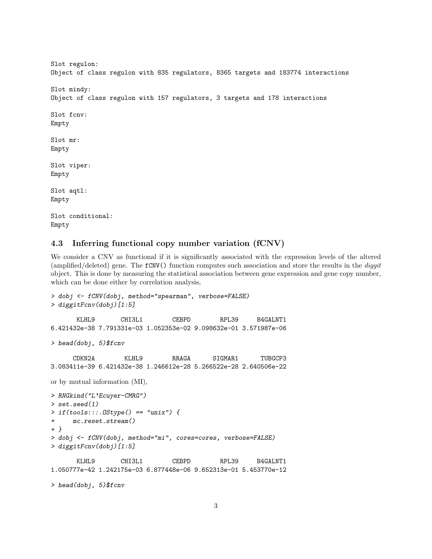```
Slot regulon:
Object of class regulon with 835 regulators, 8365 targets and 183774 interactions
Slot mindy:
Object of class regulon with 157 regulators, 3 targets and 178 interactions
Slot fcnv:
Empty
Slot mr:
Empty
Slot viper:
Empty
Slot aqtl:
Empty
Slot conditional:
Empty
```
#### 4.3 Inferring functional copy number variation (fCNV)

We consider a CNV as functional if it is significantly associated with the expression levels of the altered (amplified/deleted) gene. The fCNV() function computes such association and store the results in the diggit object. This is done by measuring the statistical association between gene expression and gene copy number, which can be done either by correlation analysis,

```
> dobj <- fCNV(dobj, method="spearman", verbose=FALSE)
> diggitFcnv(dobj)[1:5]
      KLHL9 CHI3L1 CEBPD RPL39 B4GALNT1
6.421432e-38 7.791331e-03 1.052353e-02 9.098632e-01 3.571987e-06
> head(dobj, 5)$fcnv
     CDKN2A KLHL9 RRAGA SIGMAR1 TUBGCP3
3.083411e-39 6.421432e-38 1.246612e-28 5.266522e-28 2.640506e-22
or by mutual information (MI),
> RNGkind("L'Ecuyer-CMRG")
> set.seed(1)
> if(tools:::.0Stype() == "unix") {
+ mc.reset.stream()
+ }
> dobj <- fCNV(dobj, method="mi", cores=cores, verbose=FALSE)
> diggitFcnv(dobj)[1:5]
      KLHL9 CHI3L1 CEBPD RPL39 B4GALNT1
1.050777e-42 1.242175e-03 6.877448e-06 9.652313e-01 5.453770e-12
> head(dobj, 5)$fcnv
```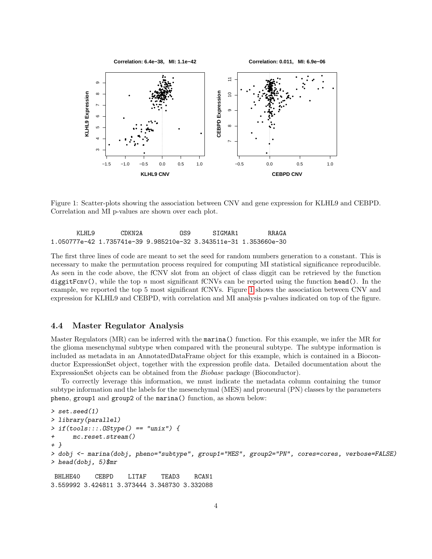

<span id="page-3-0"></span>Figure 1: Scatter-plots showing the association between CNV and gene expression for KLHL9 and CEBPD. Correlation and MI p-values are shown over each plot.

| KI.HI.9 | CDKN2A | ns9                                                                          | STGMAR1 | R.R.A.GA |
|---------|--------|------------------------------------------------------------------------------|---------|----------|
|         |        | 1.050777e-42    1.735741e-39    9.985210e-32    3.343511e-31    1.353660e-30 |         |          |

The first three lines of code are meant to set the seed for random numbers generation to a constant. This is necessary to make the permutation process required for computing MI statistical significance reproducible. As seen in the code above, the fCNV slot from an object of class diggit can be retrieved by the function diggitFcnv(), while the top n most significant fCNVs can be reported using the function head(). In the example, we reported the top 5 most significant fCNVs. Figure [1](#page-3-0) shows the association between CNV and expression for KLHL9 and CEBPD, with correlation and MI analysis p-values indicated on top of the figure.

#### 4.4 Master Regulator Analysis

Master Regulators (MR) can be inferred with the marina() function. For this example, we infer the MR for the glioma mesenchymal subtype when compared with the proneural subtype. The subtype information is included as metadata in an AnnotatedDataFrame object for this example, which is contained in a Bioconductor ExpressionSet object, together with the expression profile data. Detailed documentation about the ExpressionSet objects can be obtained from the Biobase package (Bioconductor).

To correctly leverage this information, we must indicate the metadata column containing the tumor subtype information and the labels for the mesenchymal (MES) and proneural (PN) classes by the parameters pheno, group1 and group2 of the marina() function, as shown below:

```
> set.seed(1)
> library(parallel)
> if(tools::: .0Style() == "unix") {
+ mc.reset.stream()
+ }
> dobj <- marina(dobj, pheno="subtype", group1="MES", group2="PN", cores=cores, verbose=FALSE)
> head(dobj, 5)$mr
BHLHE40 CEBPD LITAF TEAD3 RCAN1
3.559992 3.424811 3.373444 3.348730 3.332088
```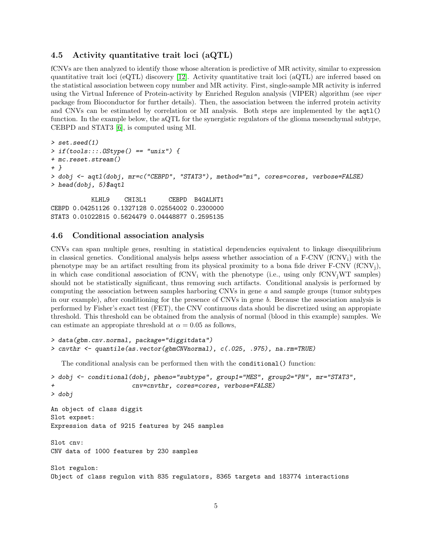#### 4.5 Activity quantitative trait loci (aQTL)

fCNVs are then analyzed to identify those whose alteration is predictive of MR activity, similar to expression quantitative trait loci (eQTL) discovery [\[12\]](#page-8-11). Activity quantitative trait loci (aQTL) are inferred based on the statistical association between copy number and MR activity. First, single-sample MR activity is inferred using the Virtual Inference of Protein-activity by Enriched Regulon analysis (VIPER) algorithm (see viper package from Bioconductor for further details). Then, the association between the inferred protein activity and CNVs can be estimated by correlation or MI analysis. Both steps are implemented by the  $aqt1()$ function. In the example below, the aQTL for the synergistic regulators of the glioma mesenchymal subtype, CEBPD and STAT3 [\[6\]](#page-8-5), is computed using MI.

```
> set.seed(1)
> if(tools:::.OStype() == "unix") {
+ mc.reset.stream()
+ }
> dobj <- aqtl(dobj, mr=c("CEBPD", "STAT3"), method="mi", cores=cores, verbose=FALSE)
> head(dobj, 5)$aqtl
```
KLHL9 CHI3L1 CEBPD B4GALNT1 CEBPD 0.04251126 0.1327128 0.02554002 0.2300000 STAT3 0.01022815 0.5624479 0.04448877 0.2595135

#### 4.6 Conditional association analysis

CNVs can span multiple genes, resulting in statistical dependencies equivalent to linkage disequilibrium in classical genetics. Conditional analysis helps assess whether association of a  $F-CNV$  ( $fCNV<sub>i</sub>$ ) with the phenotype may be an artifact resulting from its physical proximity to a bona fide driver  $F-CNV$  (fCNV<sub>i</sub>), in which case conditional association of  $fCNV_i$  with the phenotype (i.e., using only  $fCNV_iWT$  samples) should not be statistically significant, thus removing such artifacts. Conditional analysis is performed by computing the association between samples harboring CNVs in gene a and sample groups (tumor subtypes in our example), after conditioning for the presence of CNVs in gene b. Because the association analysis is performed by Fisher's exact test (FET), the CNV continuous data should be discretized using an appropiate threshold. This threshold can be obtained from the analysis of normal (blood in this example) samples. We can estimate an appropiate threshold at  $\alpha = 0.05$  as follows,

```
> data(gbm.cnv.normal, package="diggitdata")
> cnvthr <- quantile(as.vector(gbmCNVnormal), c(.025, .975), na.rm=TRUE)
```
The conditional analysis can be performed then with the conditional() function:

```
> dobj <- conditional(dobj, pheno="subtype", group1="MES", group2="PN", mr="STAT3",
+ cnv=cnvthr, cores=cores, verbose=FALSE)
> dobj
An object of class diggit
Slot expset:
Expression data of 9215 features by 245 samples
Slot cnv:
CNV data of 1000 features by 230 samples
Slot regulon:
Object of class regulon with 835 regulators, 8365 targets and 183774 interactions
```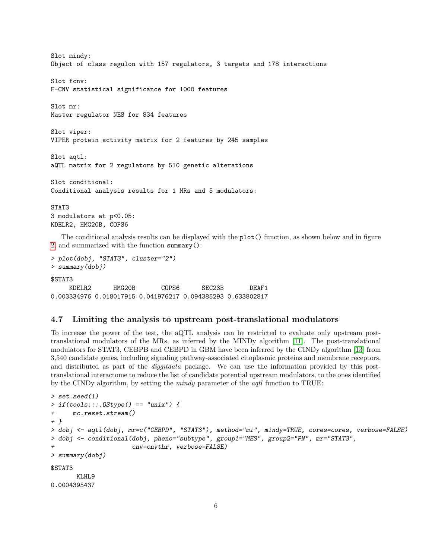Slot mindy: Object of class regulon with 157 regulators, 3 targets and 178 interactions Slot fcnv: F-CNV statistical significance for 1000 features Slot mr: Master regulator NES for 834 features Slot viper: VIPER protein activity matrix for 2 features by 245 samples Slot aqtl: aQTL matrix for 2 regulators by 510 genetic alterations Slot conditional: Conditional analysis results for 1 MRs and 5 modulators: STAT3 3 modulators at p<0.05: KDELR2, HMG20B, COPS6

The conditional analysis results can be displayed with the plot() function, as shown below and in figure [2,](#page-6-0) and summarized with the function summary():

```
> plot(dobj, "STAT3", cluster="2")
> summary(dobj)
```
\$STAT3

KDELR2 HMG20B COPS6 SEC23B DEAF1 0.003334976 0.018017915 0.041976217 0.094385293 0.633802817

#### 4.7 Limiting the analysis to upstream post-translational modulators

To increase the power of the test, the aQTL analysis can be restricted to evaluate only upstream posttranslational modulators of the MRs, as inferred by the MINDy algorithm [\[11\]](#page-8-10). The post-translational modulators for STAT3, CEBPB and CEBPD in GBM have been inferred by the CINDy algorithm [\[13\]](#page-8-12) from 3,540 candidate genes, including signaling pathway-associated citoplasmic proteins and membrane receptors, and distributed as part of the *diggitdata* package. We can use the information provided by this posttranslational interactome to reduce the list of candidate potential upstream modulators, to the ones identified by the CINDy algorithm, by setting the *mindy* parameter of the *aqtl* function to TRUE:

```
> set.seed(1)
> if(tools:::.OStype() == "unix") {
+ mc.reset.stream()
+ }
> dobj <- aqtl(dobj, mr=c("CEBPD", "STAT3"), method="mi", mindy=TRUE, cores=cores, verbose=FALSE)
> dobj <- conditional(dobj, pheno="subtype", group1="MES", group2="PN", mr="STAT3",
                      cnv=cnvthr, verbose=FALSE)
> summary(dobj)
$STAT3
      KLHL9
0.0004395437
```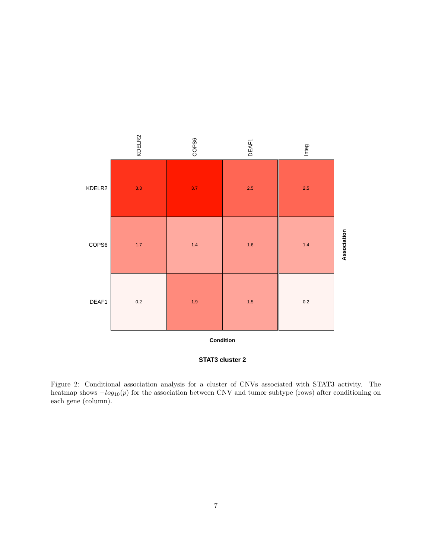

**STAT3 cluster 2**

<span id="page-6-0"></span>Figure 2: Conditional association analysis for a cluster of CNVs associated with STAT3 activity. The heatmap shows  $-log_{10}(p)$  for the association between CNV and tumor subtype (rows) after conditioning on each gene (column).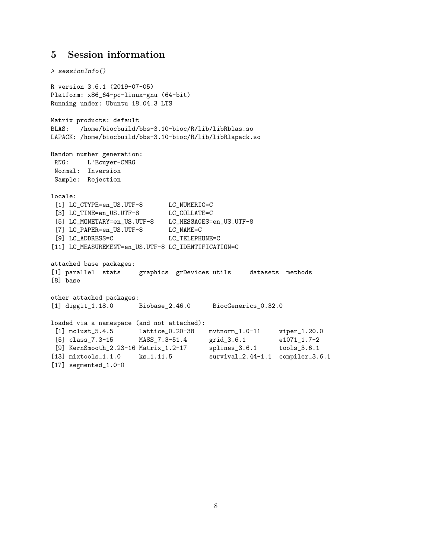## 5 Session information

```
> sessionInfo()
R version 3.6.1 (2019-07-05)
Platform: x86_64-pc-linux-gnu (64-bit)
Running under: Ubuntu 18.04.3 LTS
Matrix products: default
BLAS: /home/biocbuild/bbs-3.10-bioc/R/lib/libRblas.so
LAPACK: /home/biocbuild/bbs-3.10-bioc/R/lib/libRlapack.so
Random number generation:
RNG: L'Ecuyer-CMRG
Normal: Inversion
Sample: Rejection
locale:
 [1] LC_CTYPE=en_US.UTF-8 LC_NUMERIC=C<br>[3] LC_TIME=en_US.UTF-8 LC_COLLATE=C
 [3] LC_TIME=en_US.UTF-8
 [5] LC_MONETARY=en_US.UTF-8 LC_MESSAGES=en_US.UTF-8
 [7] LC_PAPER=en_US.UTF-8 LC_NAME=C
 [9] LC_ADDRESS=C LC_TELEPHONE=C
[11] LC_MEASUREMENT=en_US.UTF-8 LC_IDENTIFICATION=C
attached base packages:
[1] parallel stats graphics grDevices utils datasets methods
[8] base
other attached packages:
[1] diggit_1.18.0 Biobase_2.46.0 BiocGenerics_0.32.0
loaded via a namespace (and not attached):
 [1] mclust_5.4.5 lattice_0.20-38 mvtnorm_1.0-11 viper_1.20.0
 [5] class_7.3-15 MASS_7.3-51.4 grid_3.6.1 e1071_1.7-2
[9] KernSmooth_2.23-16 Matrix_1.2-17 splines_3.6.1 tools_3.6.1
[13] mixtools_1.1.0    ks_1.11.5    survival_2.44-1.1 compiler_3.6.1
[17] segmented_1.0-0
```